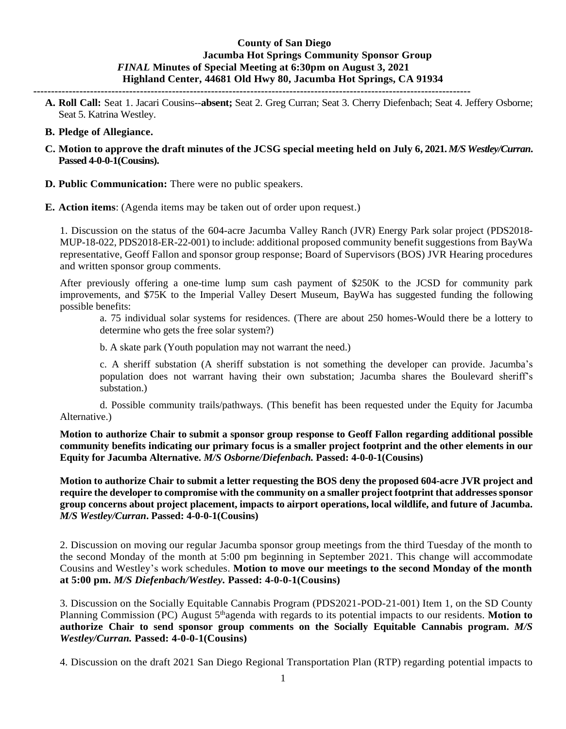### **County of San Diego Jacumba Hot Springs Community Sponsor Group** *FINAL* **Minutes of Special Meeting at 6:30pm on August 3, 2021 Highland Center, 44681 Old Hwy 80, Jacumba Hot Springs, CA 91934**

- **---------------------------------------------------------------------------------------------------------------------------**
- **A. Roll Call:** Seat 1. Jacari Cousins--**absent;** Seat 2. Greg Curran; Seat 3. Cherry Diefenbach; Seat 4. Jeffery Osborne; Seat 5. Katrina Westley.

#### **B. Pledge of Allegiance.**

- **C. Motion to approve the draft minutes of the JCSG special meeting held on July 6, 2021.** *M/S Westley/Curran***. Passed 4-0-0-1(Cousins).**
- **D. Public Communication:** There were no public speakers.
- **E. Action items**: (Agenda items may be taken out of order upon request.)

1. Discussion on the status of the 604-acre Jacumba Valley Ranch (JVR) Energy Park solar project (PDS2018- MUP-18-022, PDS2018-ER-22-001) to include: additional proposed community benefit suggestions from BayWa representative, Geoff Fallon and sponsor group response; Board of Supervisors (BOS) JVR Hearing procedures and written sponsor group comments.

After previously offering a one-time lump sum cash payment of \$250K to the JCSD for community park improvements, and \$75K to the Imperial Valley Desert Museum, BayWa has suggested funding the following possible benefits:

a. 75 individual solar systems for residences. (There are about 250 homes-Would there be a lottery to determine who gets the free solar system?)

b. A skate park (Youth population may not warrant the need.)

c. A sheriff substation (A sheriff substation is not something the developer can provide. Jacumba's population does not warrant having their own substation; Jacumba shares the Boulevard sheriff's substation.)

d. Possible community trails/pathways. (This benefit has been requested under the Equity for Jacumba Alternative.)

**Motion to authorize Chair to submit a sponsor group response to Geoff Fallon regarding additional possible community benefits indicating our primary focus is a smaller project footprint and the other elements in our Equity for Jacumba Alternative.** *M/S Osborne/Diefenbach.* **Passed: 4-0-0-1(Cousins)**

**Motion to authorize Chair to submit a letter requesting the BOS deny the proposed 604-acre JVR project and require the developer to compromise with the community on a smaller project footprint that addressessponsor group concerns about project placement, impacts to airport operations, local wildlife, and future of Jacumba.** *M/S Westley/Curran***. Passed: 4-0-0-1(Cousins)**

2. Discussion on moving our regular Jacumba sponsor group meetings from the third Tuesday of the month to the second Monday of the month at 5:00 pm beginning in September 2021. This change will accommodate Cousins and Westley's work schedules. **Motion to move our meetings to the second Monday of the month at 5:00 pm.** *M/S Diefenbach/Westley.* **Passed: 4-0-0-1(Cousins)**

3. Discussion on the Socially Equitable Cannabis Program (PDS2021-POD-21-001) Item 1, on the SD County Planning Commission (PC) August 5<sup>th</sup>agenda with regards to its potential impacts to our residents. **Motion to authorize Chair to send sponsor group comments on the Socially Equitable Cannabis program.** *M/S Westley/Curran.* **Passed: 4-0-0-1(Cousins)**

4. Discussion on the draft 2021 San Diego Regional Transportation Plan (RTP) regarding potential impacts to